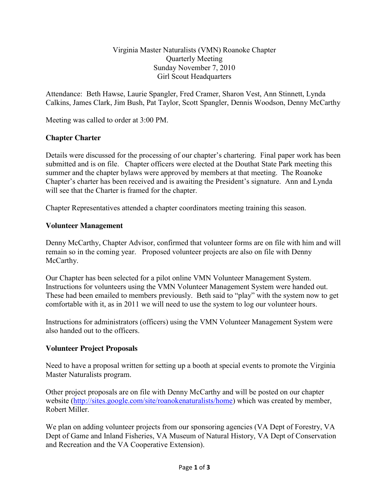### Virginia Master Naturalists (VMN) Roanoke Chapter Quarterly Meeting Sunday November 7, 2010 Girl Scout Headquarters

Attendance: Beth Hawse, Laurie Spangler, Fred Cramer, Sharon Vest, Ann Stinnett, Lynda Calkins, James Clark, Jim Bush, Pat Taylor, Scott Spangler, Dennis Woodson, Denny McCarthy

Meeting was called to order at 3:00 PM.

# **Chapter Charter**

Details were discussed for the processing of our chapter's chartering. Final paper work has been submitted and is on file. Chapter officers were elected at the Douthat State Park meeting this summer and the chapter bylaws were approved by members at that meeting. The Roanoke Chapter's charter has been received and is awaiting the President's signature. Ann and Lynda will see that the Charter is framed for the chapter.

Chapter Representatives attended a chapter coordinators meeting training this season.

## **Volunteer Management**

Denny McCarthy, Chapter Advisor, confirmed that volunteer forms are on file with him and will remain so in the coming year. Proposed volunteer projects are also on file with Denny McCarthy.

Our Chapter has been selected for a pilot online VMN Volunteer Management System. Instructions for volunteers using the VMN Volunteer Management System were handed out. These had been emailed to members previously. Beth said to "play" with the system now to get comfortable with it, as in 2011 we will need to use the system to log our volunteer hours.

Instructions for administrators (officers) using the VMN Volunteer Management System were also handed out to the officers.

### **Volunteer Project Proposals**

Need to have a proposal written for setting up a booth at special events to promote the Virginia Master Naturalists program.

Other project proposals are on file with Denny McCarthy and will be posted on our chapter website (http://sites.google.com/site/roanokenaturalists/home) which was created by member, Robert Miller.

We plan on adding volunteer projects from our sponsoring agencies (VA Dept of Forestry, VA Dept of Game and Inland Fisheries, VA Museum of Natural History, VA Dept of Conservation and Recreation and the VA Cooperative Extension).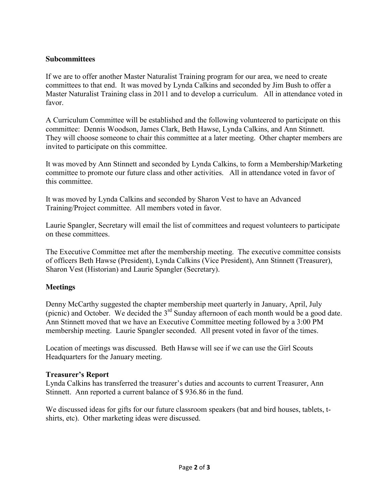#### **Subcommittees**

If we are to offer another Master Naturalist Training program for our area, we need to create committees to that end. It was moved by Lynda Calkins and seconded by Jim Bush to offer a Master Naturalist Training class in 2011 and to develop a curriculum. All in attendance voted in favor.

A Curriculum Committee will be established and the following volunteered to participate on this committee: Dennis Woodson, James Clark, Beth Hawse, Lynda Calkins, and Ann Stinnett. They will choose someone to chair this committee at a later meeting. Other chapter members are invited to participate on this committee.

It was moved by Ann Stinnett and seconded by Lynda Calkins, to form a Membership/Marketing committee to promote our future class and other activities. All in attendance voted in favor of this committee.

It was moved by Lynda Calkins and seconded by Sharon Vest to have an Advanced Training/Project committee. All members voted in favor.

Laurie Spangler, Secretary will email the list of committees and request volunteers to participate on these committees.

The Executive Committee met after the membership meeting. The executive committee consists of officers Beth Hawse (President), Lynda Calkins (Vice President), Ann Stinnett (Treasurer), Sharon Vest (Historian) and Laurie Spangler (Secretary).

### **Meetings**

Denny McCarthy suggested the chapter membership meet quarterly in January, April, July (picnic) and October. We decided the 3rd Sunday afternoon of each month would be a good date. Ann Stinnett moved that we have an Executive Committee meeting followed by a 3:00 PM membership meeting. Laurie Spangler seconded. All present voted in favor of the times.

Location of meetings was discussed. Beth Hawse will see if we can use the Girl Scouts Headquarters for the January meeting.

### **Treasurer's Report**

Lynda Calkins has transferred the treasurer's duties and accounts to current Treasurer, Ann Stinnett. Ann reported a current balance of \$ 936.86 in the fund.

We discussed ideas for gifts for our future classroom speakers (bat and bird houses, tablets, tshirts, etc). Other marketing ideas were discussed.